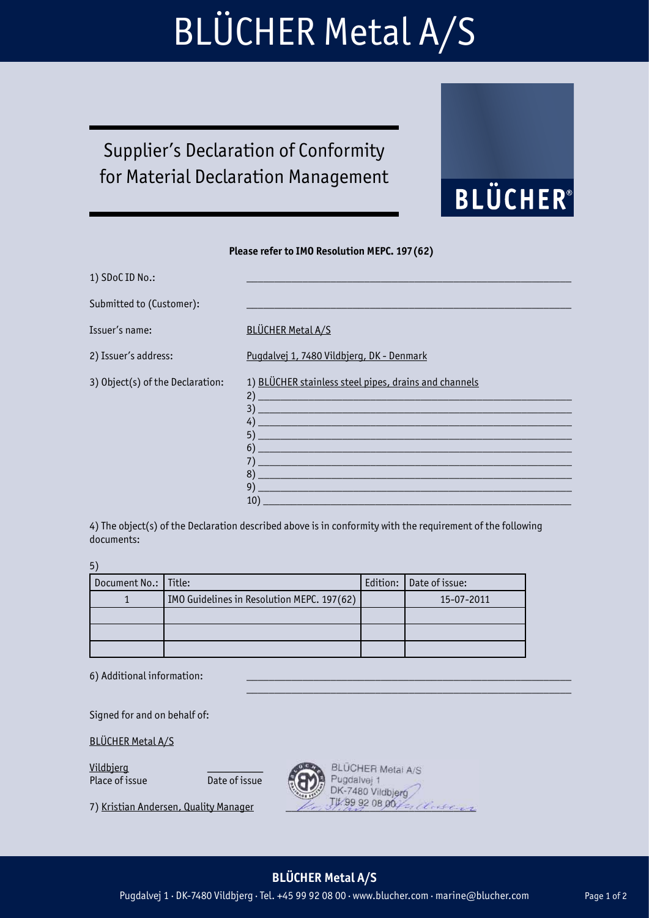## BLÜCHER Metal A/S

## Supplier's Declaration of Conformity for Material Declaration Management

#### Please refer to IMO Resolution MEPC. 197(62)

| 1) SDoC ID No.:                  |                                                                                                                                                                                                                                                                                                                                                    |
|----------------------------------|----------------------------------------------------------------------------------------------------------------------------------------------------------------------------------------------------------------------------------------------------------------------------------------------------------------------------------------------------|
| Submitted to (Customer):         |                                                                                                                                                                                                                                                                                                                                                    |
| Issuer's name:                   | <b>BLÜCHER Metal A/S</b>                                                                                                                                                                                                                                                                                                                           |
| 2) Issuer's address:             | Pugdalvej 1, 7480 Vildbjerg, DK - Denmark                                                                                                                                                                                                                                                                                                          |
| 3) Object(s) of the Declaration: | 1) BLÜCHER stainless steel pipes, drains and channels<br>2)<br><u> 1989 - Johann John Stone, markin film yn y brening yn y brening yn y brening yn y brening yn y brening yn y b</u><br>3)<br>4)<br>5)<br><u> 1989 - Andrea Santa Galile, ann an t-Ann an t-Ann an t-Ann an t-Ann an t-Ann an t-Ann an t-Ann an t-Ann an t-A</u><br>6)<br>7)<br>8) |

4) The object(s) of the Declaration described above is in conformity with the requirement of the following documents:

5)

| Document No.:   Title: |                                            | Edition: Date of issue: |
|------------------------|--------------------------------------------|-------------------------|
|                        | IMO Guidelines in Resolution MEPC. 197(62) | 15-07-2011              |
|                        |                                            |                         |
|                        |                                            |                         |
|                        |                                            |                         |

 $\mathcal{L}_\text{max} = \{ \mathcal{L}_\text{max} \mid \mathcal{L}_\text{max} \}$ 

6) Additional information:

Signed for and on behalf of:

BLÜCHER Metal A/S

Vildbjerg<br>Place of issue **Date of issue** Place of issue



BLÜCHER Metal A/S Pugdalvej 1<br>DK-7480 Vildbjerg 7) Kristian Andersen, Quality Manager The 39 92 08 00 / 21 Class

9) \_\_\_\_\_\_\_\_\_\_\_\_\_\_\_\_\_\_\_\_\_\_\_\_\_\_\_\_\_\_\_\_\_\_\_\_\_\_\_\_\_\_\_\_\_\_\_\_\_\_\_\_\_\_\_\_ 10) \_\_\_\_\_\_\_\_\_\_\_\_\_\_\_\_\_\_\_\_\_\_\_\_\_\_\_\_\_\_\_\_\_\_\_\_\_\_\_\_\_\_\_\_\_\_\_\_\_\_\_\_\_\_\_

**BLÜCHER®** 

#### BLÜCHER Metal A/S